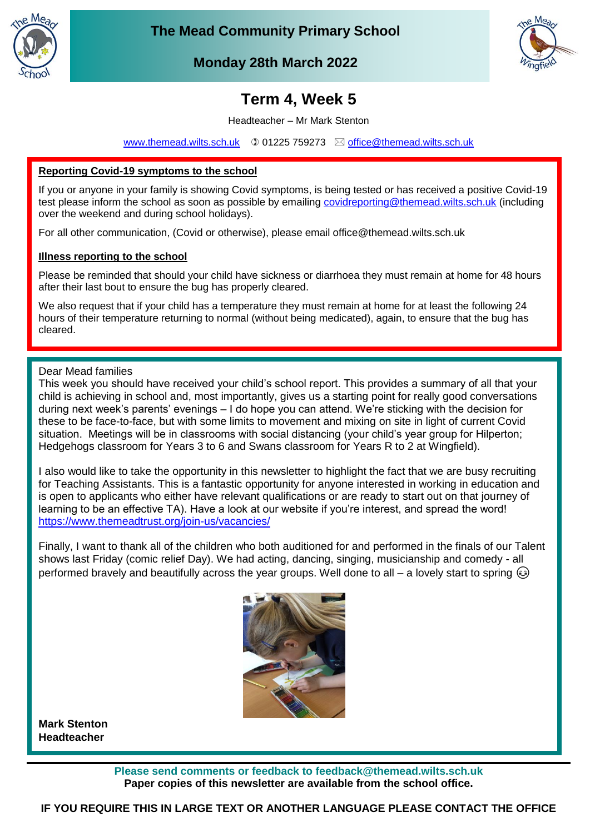

**The Mead Community Primary School**



**Monday 28th March 2022 March 2022**

# **Term 4, Week 5**

Headteacher – Mr Mark Stenton

[www.themead.wilts.sch.uk](http://www.themead.wilts.sch.uk/)  $0.01225759273 \boxtimes$  [office@themead.wilts.sch.uk](mailto:office@themead.wilts.sch.uk)

# **Reporting Covid-19 symptoms to the school**

Thank you for your assistance in helping us keep everyone safe.

If you or anyone in your family is showing Covid symptoms, is being tested or has received a positive Covid-19 test please inform the school as soon as possible by emailing [covidreporting@themead.wilts.sch.uk](mailto:covidreporting@themead.wilts.sch.uk) (including over the weekend and during school holidays).

For all other communication, (Covid or otherwise), please email office@themead.wilts.sch.uk

### **Illness reporting to the school**

Please be reminded that should your child have sickness or diarrhoea they must remain at home for 48 hours after their last bout to ensure the bug has properly cleared.

We also request that if your child has a temperature they must remain at home for at least the following 24 hours of their temperature returning to normal (without being medicated), again, to ensure that the bug has cleared.

### Dear Mead families

This week you should have received your child's school report. This provides a summary of all that your child is achieving in school and, most importantly, gives us a starting point for really good conversations during next week's parents' evenings – I do hope you can attend. We're sticking with the decision for these to be face-to-face, but with some limits to movement and mixing on site in light of current Covid situation. Meetings will be in classrooms with social distancing (your child's year group for Hilperton; Hedgehogs classroom for Years 3 to 6 and Swans classroom for Years R to 2 at Wingfield).

I also would like to take the opportunity in this newsletter to highlight the fact that we are busy recruiting for Teaching Assistants. This is a fantastic opportunity for anyone interested in working in education and is open to applicants who either have relevant qualifications or are ready to start out on that journey of learning to be an effective TA). Have a look at our website if you're interest, and spread the word! <https://www.themeadtrust.org/join-us/vacancies/>

Finally, I want to thank all of the children who both auditioned for and performed in the finals of our Talent shows last Friday (comic relief Day). We had acting, dancing, singing, musicianship and comedy - all performed bravely and beautifully across the year groups. Well done to all – a lovely start to spring  $\circledcirc$ 



**Mark Stenton Headteacher**

> **Please send comments or feedback to feedback@themead.wilts.sch.uk Paper copies of this newsletter are available from the school office.**

**IF YOU REQUIRE THIS IN LARGE TEXT OR ANOTHER LANGUAGE PLEASE CONTACT THE OFFICE**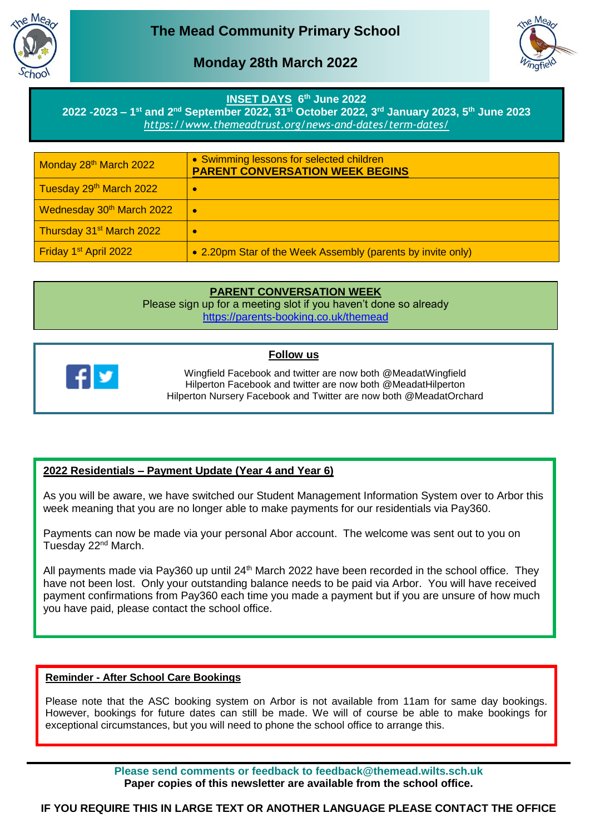



# **Monday 28th March 2022 March 2022**

## **INSET DAYS 6 th June 2022**

**2022 -2023 – 1 st and 2nd September 2022, 31st October 2022, 3rd January 2023, 5th June 2023** *<https://www.themeadtrust.org/news-and-dates/term-dates/>*

| Monday 28 <sup>th</sup> March 2022    | • Swimming lessons for selected children<br><b>PARENT CONVERSATION WEEK BEGINS</b> |
|---------------------------------------|------------------------------------------------------------------------------------|
| Tuesday 29th March 2022               | c                                                                                  |
| Wednesday 30 <sup>th</sup> March 2022 | $\bullet$                                                                          |
| Thursday 31 <sup>st</sup> March 2022  | c                                                                                  |
| Friday 1 <sup>st</sup> April 2022     | • 2.20pm Star of the Week Assembly (parents by invite only)                        |

# **PARENT CONVERSATION WEEK**

Please sign up for a meeting slot if you haven't done so already <https://parents-booking.co.uk/themead>

#### **Follow us**



Wingfield Facebook and twitter are now both @MeadatWingfield Hilperton Facebook and twitter are now both @MeadatHilperton Hilperton Nursery Facebook and Twitter are now both @MeadatOrchard

# **2022 Residentials – Payment Update (Year 4 and Year 6)**

As you will be aware, we have switched our Student Management Information System over to Arbor this week meaning that you are no longer able to make payments for our residentials via Pay360.

Payments can now be made via your personal Abor account. The welcome was sent out to you on Tuesday 22<sup>nd</sup> March.

All payments made via Pay360 up until  $24<sup>th</sup>$  March 2022 have been recorded in the school office. They have not been lost. Only your outstanding balance needs to be paid via Arbor. You will have received payment confirmations from Pay360 each time you made a payment but if you are unsure of how much you have paid, please contact the school office.

# **Reminder - After School Care Bookings**

Please note that the ASC booking system on Arbor is not available from 11am for same day bookings. However, bookings for future dates can still be made. We will of course be able to make bookings for exceptional circumstances, but you will need to phone the school office to arrange this.

> **Please send comments or feedback to feedback@themead.wilts.sch.uk Paper copies of this newsletter are available from the school office.**

**IF YOU REQUIRE THIS IN LARGE TEXT OR ANOTHER LANGUAGE PLEASE CONTACT THE OFFICE**